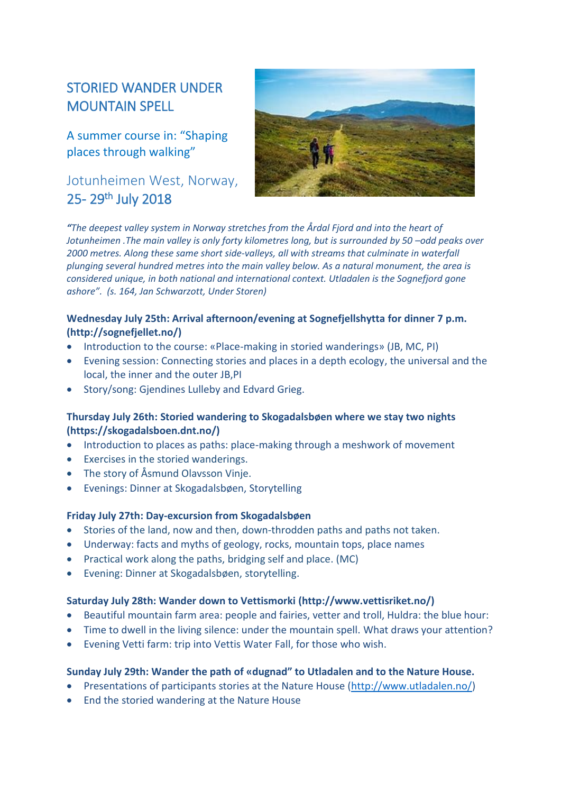# STORIED WANDER UNDER MOUNTAIN SPELL

A summer course in: "Shaping places through walking"

## Jotunheimen West, Norway, 25-29<sup>th</sup> July 2018



*"The deepest valley system in Norway stretches from the Årdal Fjord and into the heart of Jotunheimen* .The main valley is only forty kilometres long, but is surrounded by 50 -odd peaks over *2000 metres. Along these same short side-valleys, all with streams that culminate in waterfall plunging several hundred metres into the main valley below. As a natural monument, the area is considered unique, in both national and international context. Utladalen is the Sognefjord gone ashore". (s. 164, Jan Schwarzott, Under Storen)* 

## **Wednesday July 25th: Arrival afternoon/evening at Sognefjellshytta for dinner 7 p.m. (http://sognefjellet.no/)**

- Introduction to the course: «Place-making in storied wanderings» (JB, MC, PI)
- Evening session: Connecting stories and places in a depth ecology, the universal and the local, the inner and the outer JB,PI
- Story/song: Gjendines Lulleby and Edvard Grieg.

## **Thursday July 26th: Storied wandering to Skogadalsbøen where we stay two nights (https://skogadalsboen.dnt.no/)**

- Introduction to places as paths: place-making through a meshwork of movement
- Exercises in the storied wanderings.
- The story of Åsmund Olavsson Vinje.
- Evenings: Dinner at Skogadalsbøen, Storytelling

#### **Friday July 27th: Day-excursion from Skogadalsbøen**

- Stories of the land, now and then, down-throdden paths and paths not taken.
- Underway: facts and myths of geology, rocks, mountain tops, place names
- Practical work along the paths, bridging self and place. (MC)
- Evening: Dinner at Skogadalsbøen, storytelling.

#### **Saturday July 28th: Wander down to Vettismorki (http://www.vettisriket.no/)**

- Beautiful mountain farm area: people and fairies, vetter and troll, Huldra: the blue hour:
- Time to dwell in the living silence: under the mountain spell. What draws your attention?
- Evening Vetti farm: trip into Vettis Water Fall, for those who wish.

### **Sunday July 29th: Wander the path of «dugnad" to Utladalen and to the Nature House.**

- Presentations of participants stories at the Nature House [\(http://www.utladalen.no/\)](http://www.utladalen.no/)
- End the storied wandering at the Nature House